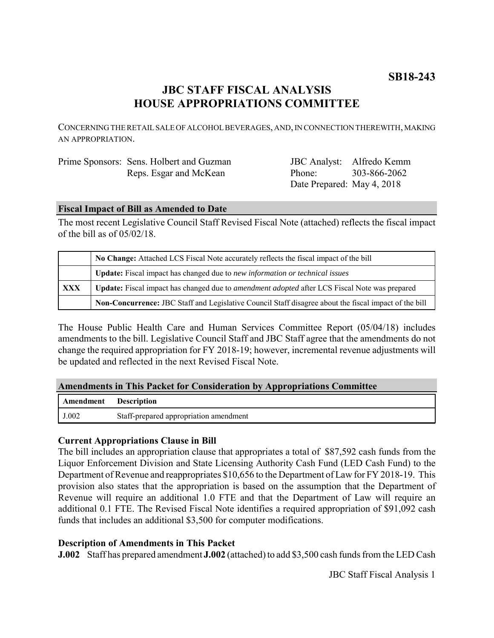## **JBC STAFF FISCAL ANALYSIS HOUSE APPROPRIATIONS COMMITTEE**

CONCERNING THE RETAIL SALE OF ALCOHOL BEVERAGES, AND, IN CONNECTION THEREWITH, MAKING AN APPROPRIATION.

| Prime Sponsors: Sens. Holbert and Guzman |
|------------------------------------------|
| Reps. Esgar and McKean                   |

JBC Analyst: Alfredo Kemm Phone: Date Prepared: May 4, 2018 303-866-2062

### **Fiscal Impact of Bill as Amended to Date**

The most recent Legislative Council Staff Revised Fiscal Note (attached) reflects the fiscal impact of the bill as of 05/02/18.

|            | No Change: Attached LCS Fiscal Note accurately reflects the fiscal impact of the bill                       |  |
|------------|-------------------------------------------------------------------------------------------------------------|--|
|            | Update: Fiscal impact has changed due to new information or technical issues                                |  |
| <b>XXX</b> | <b>Update:</b> Fiscal impact has changed due to <i>amendment adopted</i> after LCS Fiscal Note was prepared |  |
|            | Non-Concurrence: JBC Staff and Legislative Council Staff disagree about the fiscal impact of the bill       |  |

The House Public Health Care and Human Services Committee Report (05/04/18) includes amendments to the bill. Legislative Council Staff and JBC Staff agree that the amendments do not change the required appropriation for FY 2018-19; however, incremental revenue adjustments will be updated and reflected in the next Revised Fiscal Note.

#### **Amendments in This Packet for Consideration by Appropriations Committee**

| <b>Amendment</b> Description |                                        |
|------------------------------|----------------------------------------|
| J.002                        | Staff-prepared appropriation amendment |

#### **Current Appropriations Clause in Bill**

The bill includes an appropriation clause that appropriates a total of \$87,592 cash funds from the Liquor Enforcement Division and State Licensing Authority Cash Fund (LED Cash Fund) to the Department of Revenue and reappropriates \$10,656 to the Department of Law for FY 2018-19. This provision also states that the appropriation is based on the assumption that the Department of Revenue will require an additional 1.0 FTE and that the Department of Law will require an additional 0.1 FTE. The Revised Fiscal Note identifies a required appropriation of \$91,092 cash funds that includes an additional \$3,500 for computer modifications.

#### **Description of Amendments in This Packet**

**J.002** Staff has prepared amendment **J.002** (attached) to add \$3,500 cash funds from the LED Cash